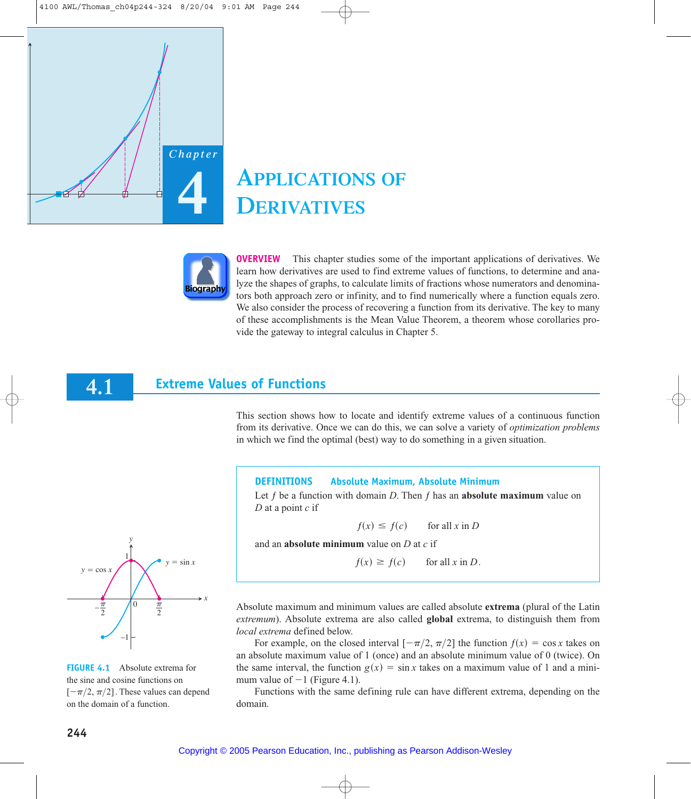*Chapter*

**4** 

# **APPLICATIONS OF DERIVATIVES**



**OVERVIEW** This chapter studies some of the important applications of derivatives. We learn how derivatives are used to find extreme values of functions, to determine and analyze the shapes of graphs, to calculate limits of fractions whose numerators and denominators both approach zero or infinity, and to find numerically where a function equals zero. We also consider the process of recovering a function from its derivative. The key to many of these accomplishments is the Mean Value Theorem, a theorem whose corollaries provide the gateway to integral calculus in Chapter 5.

#### **Extreme Values of Functions 4.1**

This section shows how to locate and identify extreme values of a continuous function from its derivative. Once we can do this, we can solve a variety of *optimization problems* in which we find the optimal (best) way to do something in a given situation.

## **DEFINITIONS Absolute Maximum, Absolute Minimum**

Let  $f$  be a function with domain  $D$ . Then  $f$  has an **absolute maximum** value on *D* at a point *c* if

$$
f(x) \le f(c) \qquad \text{for all } x \text{ in } D
$$

and an **absolute minimum** value on *D* at *c* if

$$
f(x) \ge f(c) \qquad \text{for all } x \text{ in } D.
$$

Absolute maximum and minimum values are called absolute **extrema** (plural of the Latin *extremum*). Absolute extrema are also called **global** extrema, to distinguish them from *local extrema* defined below.

For example, on the closed interval  $[-\pi/2, \pi/2]$  the function  $f(x) = \cos x$  takes on an absolute maximum value of 1 (once) and an absolute minimum value of 0 (twice). On the same interval, the function  $g(x) = \sin x$  takes on a maximum value of 1 and a minimum value of  $-1$  (Figure 4.1).

Functions with the same defining rule can have different extrema, depending on the domain.



**FIGURE 4.1** Absolute extrema for the sine and cosine functions on  $[-\pi/2, \pi/2]$ . These values can depend on the domain of a function.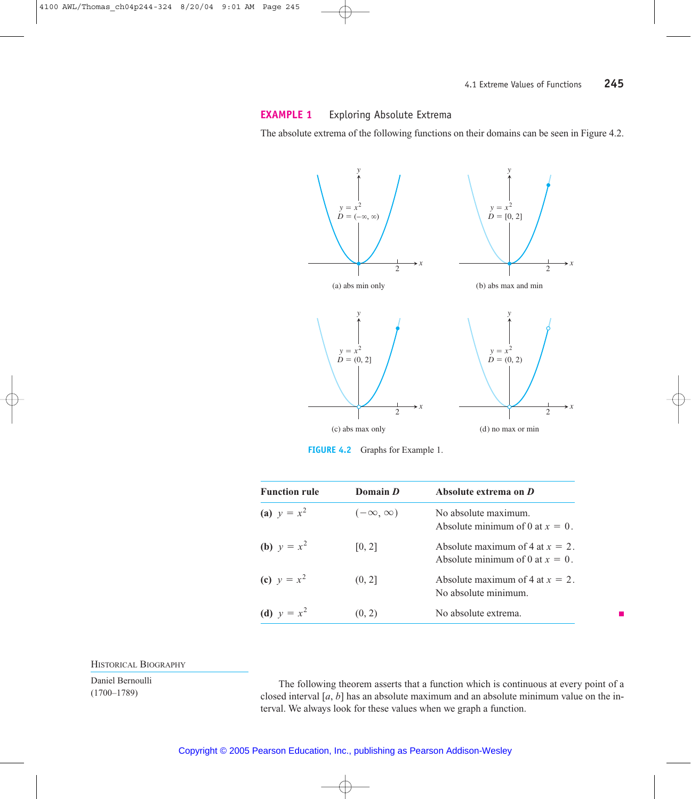# **EXAMPLE 1** Exploring Absolute Extrema

The absolute extrema of the following functions on their domains can be seen in Figure 4.2.



**FIGURE 4.2** Graphs for Example 1.

| <b>Function rule</b> | Domain D            | Absolute extrema on D                                                    |
|----------------------|---------------------|--------------------------------------------------------------------------|
| (a) $y = x^2$        | $(-\infty, \infty)$ | No absolute maximum.<br>Absolute minimum of 0 at $x = 0$ .               |
| <b>(b)</b> $y = x^2$ | [0, 2]              | Absolute maximum of 4 at $x = 2$ .<br>Absolute minimum of 0 at $x = 0$ . |
| (c) $y = x^2$        | (0, 2]              | Absolute maximum of 4 at $x = 2$ .<br>No absolute minimum.               |
| (d) $y = x^2$        | (0, 2)              | No absolute extrema.                                                     |

HISTORICAL BIOGRAPHY

Daniel Bernoulli

Daniel Bernouli The following theorem asserts that a function which is continuous at every point of a<br>(1700–1789)  $\frac{1}{2}$  closed interval [a, b] has an absolute maximum and an absolute minimum value on the inclosed interval [*a*, *b*] has an absolute maximum and an absolute minimum value on the interval. We always look for these values when we graph a function.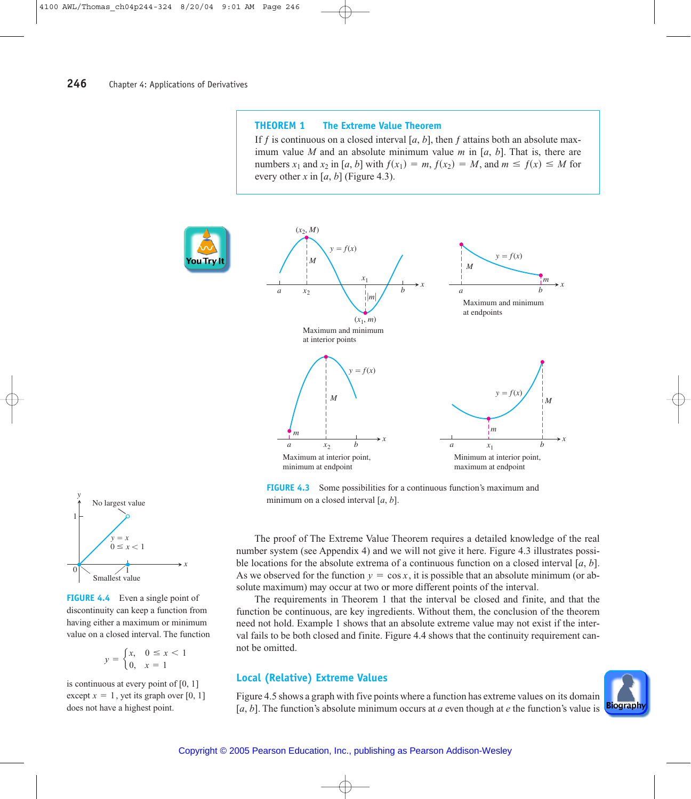#### **THEOREM 1 The Extreme Value Theorem**

If f is continuous on a closed interval  $[a, b]$ , then f attains both an absolute maximum value *M* and an absolute minimum value *m* in [*a*, *b*]. That is, there are numbers  $x_1$  and  $x_2$  in [*a*, *b*] with  $f(x_1) = m$ ,  $f(x_2) = M$ , and  $m \le f(x) \le M$  for every other *x* in [a, b] (Figure 4.3).



**FIGURE 4.3** Some possibilities for a continuous function's maximum and minimum on a closed interval [*a*, *b*].



The requirements in Theorem 1 that the interval be closed and finite, and that the function be continuous, are key ingredients. Without them, the conclusion of the theorem need not hold. Example 1 shows that an absolute extreme value may not exist if the interval fails to be both closed and finite. Figure 4.4 shows that the continuity requirement cannot be omitted.

## **Local (Relative) Extreme Values**

Copyright © 2005 Pearson Education, Inc., publishing as Pearson Addison-Wesley

Figure 4.5 shows a graph with five points where a function has extreme values on its domain [*a*, *b*]. The function's absolute minimum occurs at *a* even though at *e* the function's value is





**FIGURE 4.4** Even a single point of discontinuity can keep a function from having either a maximum or minimum value on a closed interval. The function



is continuous at every point of [0, 1]  $\text{except } x = 1, \text{ yet its graph over } [0, 1]$ does not have a highest point.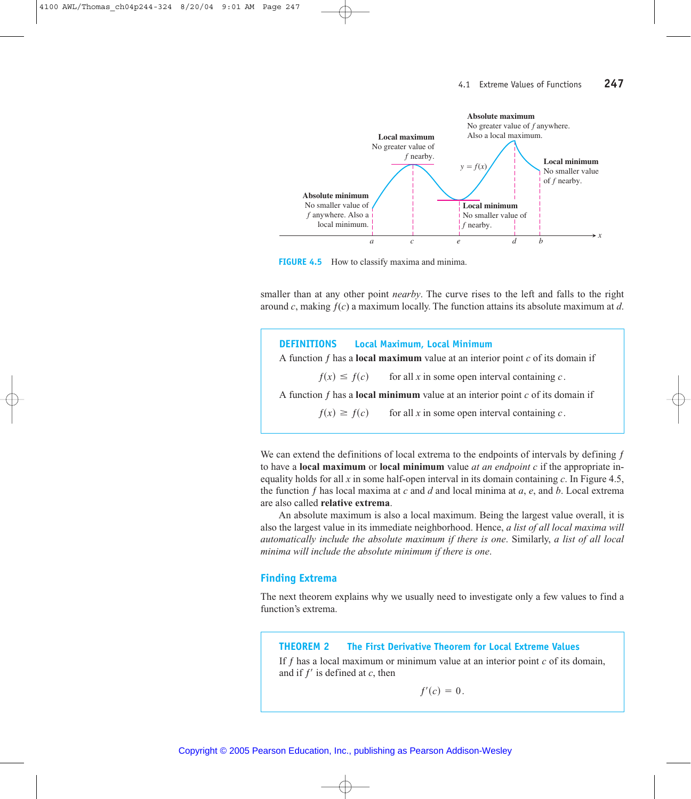

**FIGURE 4.5** How to classify maxima and minima.

smaller than at any other point *nearby*. The curve rises to the left and falls to the right around *c*, making ƒ(*c*) a maximum locally. The function attains its absolute maximum at *d*.

**DEFINITIONS Local Maximum, Local Minimum** A function ƒ has a **local maximum** value at an interior point *c* of its domain if A function ƒ has a **local minimum** value at an interior point *c* of its domain if  $f(x) \ge f(c)$  for all *x* in some open interval containing *c*.  $f(x) \leq f(c)$  for all *x* in some open interval containing *c*.

We can extend the definitions of local extrema to the endpoints of intervals by defining  $f$ to have a **local maximum** or **local minimum** value *at an endpoint c* if the appropriate inequality holds for all *x* in some half-open interval in its domain containing *c*. In Figure 4.5, the function ƒ has local maxima at *c* and *d* and local minima at *a*, *e*, and *b*. Local extrema are also called **relative extrema**.

An absolute maximum is also a local maximum. Being the largest value overall, it is also the largest value in its immediate neighborhood. Hence, *a list of all local maxima will automatically include the absolute maximum if there is one*. Similarly, *a list of all local minima will include the absolute minimum if there is one*.

#### **Finding Extrema**

The next theorem explains why we usually need to investigate only a few values to find a function's extrema.

#### **THEOREM 2 The First Derivative Theorem for Local Extreme Values**

If  $f$  has a local maximum or minimum value at an interior point  $c$  of its domain, and if  $f'$  is defined at  $c$ , then

 $f'(c) = 0.$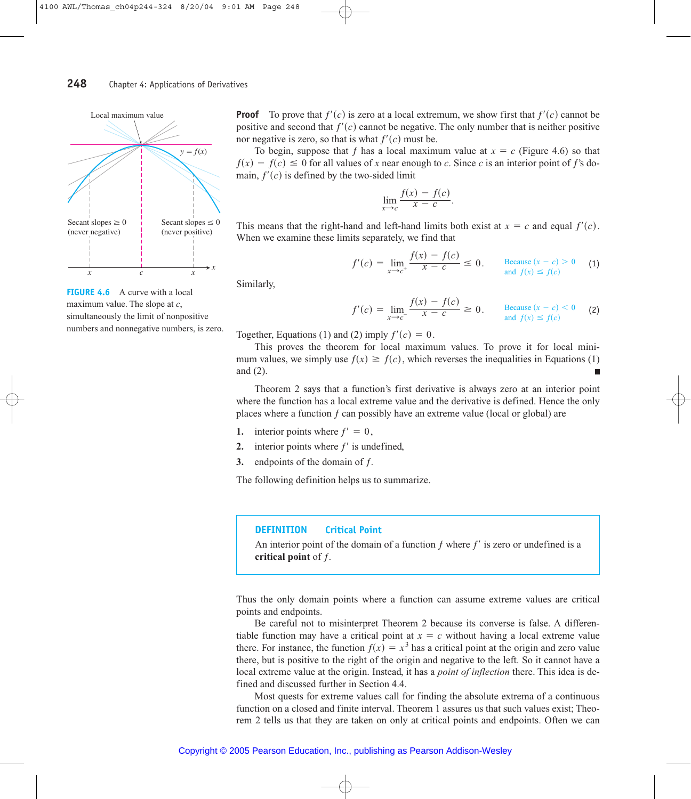

**FIGURE 4.6** A curve with a local maximum value. The slope at *c*, simultaneously the limit of nonpositive numbers and nonnegative numbers, is zero. **Proof** To prove that  $f'(c)$  is zero at a local extremum, we show first that  $f'(c)$  cannot be positive and second that  $f'(c)$  cannot be negative. The only number that is neither positive nor negative is zero, so that is what  $f'(c)$  must be.

To begin, suppose that f has a local maximum value at  $x = c$  (Figure 4.6) so that  $f(x) - f(c) \le 0$  for all values of *x* near enough to *c*. Since *c* is an interior point of *f*'s domain,  $f'(c)$  is defined by the two-sided limit

$$
\lim_{x \to c} \frac{f(x) - f(c)}{x - c}.
$$

This means that the right-hand and left-hand limits both exist at  $x = c$  and equal  $f'(c)$ . When we examine these limits separately, we find that

$$
f'(c) = \lim_{x \to c^{+}} \frac{f(x) - f(c)}{x - c} \le 0. \qquad \text{Because } (x - c) > 0 \qquad (1)
$$

Similarly,

$$
f'(c) = \lim_{x \to c^{-}} \frac{f(x) - f(c)}{x - c} \ge 0. \qquad \text{Because } (x - c) < 0 \qquad (2)
$$
  
and  $f(x) \le f(c)$ 

Together, Equations (1) and (2) imply  $f'(c) = 0$ .

This proves the theorem for local maximum values. To prove it for local minimum values, we simply use  $f(x) \ge f(c)$ , which reverses the inequalities in Equations (1) and (2). ш

ƒs*x*d - ƒs*c*d

Theorem 2 says that a function's first derivative is always zero at an interior point where the function has a local extreme value and the derivative is defined. Hence the only places where a function  $f$  can possibly have an extreme value (local or global) are

- **1.** interior points where  $f' = 0$ ,
- 2. interior points where  $f'$  is undefined,
- **3.** endpoints of the domain of f.

The following definition helps us to summarize.

#### **DEFINITION Critical Point**

An interior point of the domain of a function  $f$  where  $f'$  is zero or undefined is a **critical point** of ƒ.

Thus the only domain points where a function can assume extreme values are critical points and endpoints.

Be careful not to misinterpret Theorem 2 because its converse is false. A differentiable function may have a critical point at  $x = c$  without having a local extreme value there. For instance, the function  $f(x) = x^3$  has a critical point at the origin and zero value there, but is positive to the right of the origin and negative to the left. So it cannot have a local extreme value at the origin. Instead, it has a *point of inflection* there. This idea is defined and discussed further in Section 4.4.

Most quests for extreme values call for finding the absolute extrema of a continuous function on a closed and finite interval. Theorem 1 assures us that such values exist; Theorem 2 tells us that they are taken on only at critical points and endpoints. Often we can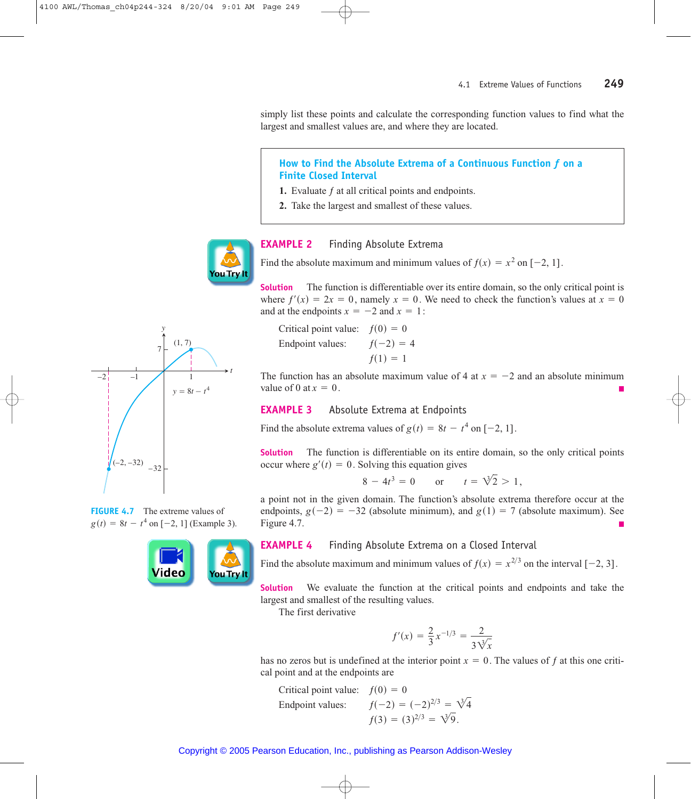simply list these points and calculate the corresponding function values to find what the largest and smallest values are, and where they are located.

# **How to Find the Absolute Extrema of a Continuous Function** *ƒ* **on a Finite Closed Interval**

- **1.** Evaluate ƒ at all critical points and endpoints.
- **2.** Take the largest and smallest of these values.



## **EXAMPLE 2** Finding Absolute Extrema

Find the absolute maximum and minimum values of  $f(x) = x^2$  on  $[-2, 1]$ .

**Solution** The function is differentiable over its entire domain, so the only critical point is where  $f'(x) = 2x = 0$ , namely  $x = 0$ . We need to check the function's values at  $x = 0$ and at the endpoints  $x = -2$  and  $x = 1$ :

Critical point value:  $f(0) = 0$ Endpoint values:  $f(1) = 1$  $f(-2) = 4$ 

The function has an absolute maximum value of 4 at  $x = -2$  and an absolute minimum value of 0 at  $x = 0$ .

# **EXAMPLE 3** Absolute Extrema at Endpoints

Find the absolute extrema values of  $g(t) = 8t - t^4$  on  $[-2, 1]$ .

**Solution** The function is differentiable on its entire domain, so the only critical points occur where  $g'(t) = 0$ . Solving this equation gives

$$
8 - 4t3 = 0
$$
 or  $t = \sqrt[3]{2} > 1$ ,

a point not in the given domain. The function's absolute extrema therefore occur at the endpoints,  $g(-2) = -32$  (absolute minimum), and  $g(1) = 7$  (absolute maximum). See Figure 4.7.

# ouTry

#### **EXAMPLE 4** Finding Absolute Extrema on a Closed Interval

Find the absolute maximum and minimum values of  $f(x) = x^{2/3}$  on the interval  $[-2, 3]$ .

**Solution** We evaluate the function at the critical points and endpoints and take the largest and smallest of the resulting values.

The first derivative

$$
f'(x) = \frac{2}{3}x^{-1/3} = \frac{2}{3\sqrt[3]{x}}
$$

has no zeros but is undefined at the interior point  $x = 0$ . The values of f at this one critical point and at the endpoints are

Critical point value:  $f(0) = 0$ Endpoint values:  $f(3) = (3)^{2/3} = \sqrt[3]{9}.$  $f(-2) = (-2)^{2/3} = \sqrt[3]{4}$ 



**FIGURE 4.7** The extreme values of  $g(t) = 8t - t^4$  on  $[-2, 1]$  (Example 3).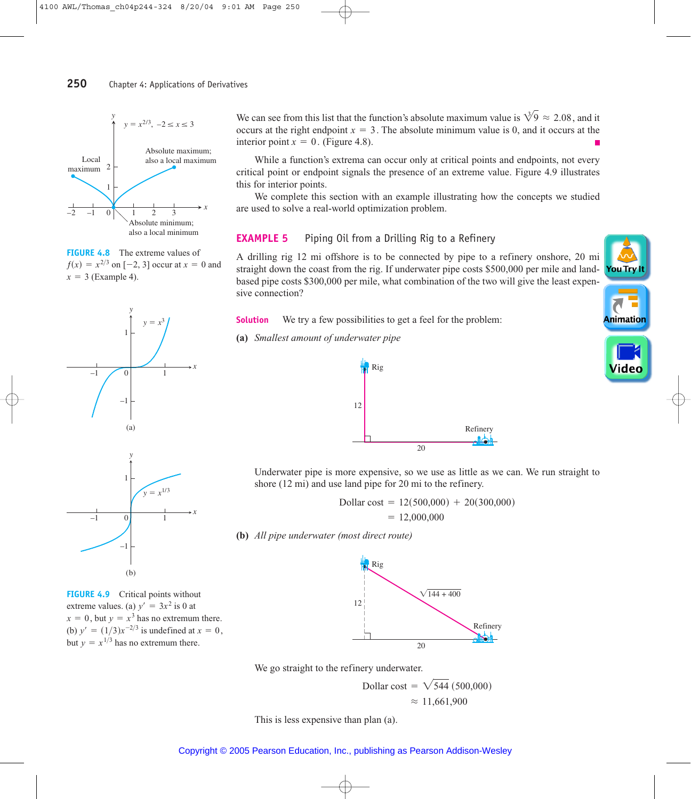

**FIGURE 4.8** The extreme values of  $f(x) = x^{2/3}$  on [-2, 3] occur at  $x = 0$  and  $x = 3$  (Example 4).



**FIGURE 4.9** Critical points without extreme values. (a)  $y' = 3x^2$  is 0 at  $x = 0$ , but  $y = x^3$  has no extremum there. (b)  $y' = (1/3)x^{-2/3}$  is undefined at  $x = 0$ , but  $y = x^{1/3}$  has no extremum there.

We can see from this list that the function's absolute maximum value is  $\sqrt[3]{9} \approx 2.08$ , and it occurs at the right endpoint  $x = 3$ . The absolute minimum value is 0, and it occurs at the interior point  $x = 0$ . (Figure 4.8).

While a function's extrema can occur only at critical points and endpoints, not every critical point or endpoint signals the presence of an extreme value. Figure 4.9 illustrates this for interior points.

We complete this section with an example illustrating how the concepts we studied are used to solve a real-world optimization problem.

# **EXAMPLE 5** Piping Oil from a Drilling Rig to a Refinery

A drilling rig 12 mi offshore is to be connected by pipe to a refinery onshore, 20 mi straight down the coast from the rig. If underwater pipe costs \$500,000 per mile and landbased pipe costs \$300,000 per mile, what combination of the two will give the least expensive connection?

**Solution** We try a few possibilities to get a feel for the problem:

**(a)** *Smallest amount of underwater pipe*



Underwater pipe is more expensive, so we use as little as we can. We run straight to shore (12 mi) and use land pipe for 20 mi to the refinery.

> $= 12,000,000$ Dollar cost =  $12(500,000) + 20(300,000)$

**(b)** *All pipe underwater (most direct route)*



We go straight to the refinery underwater.

 $\approx 11,661,900$ Dollar cost =  $\sqrt{544}$  (500,000)

This is less expensive than plan (a).

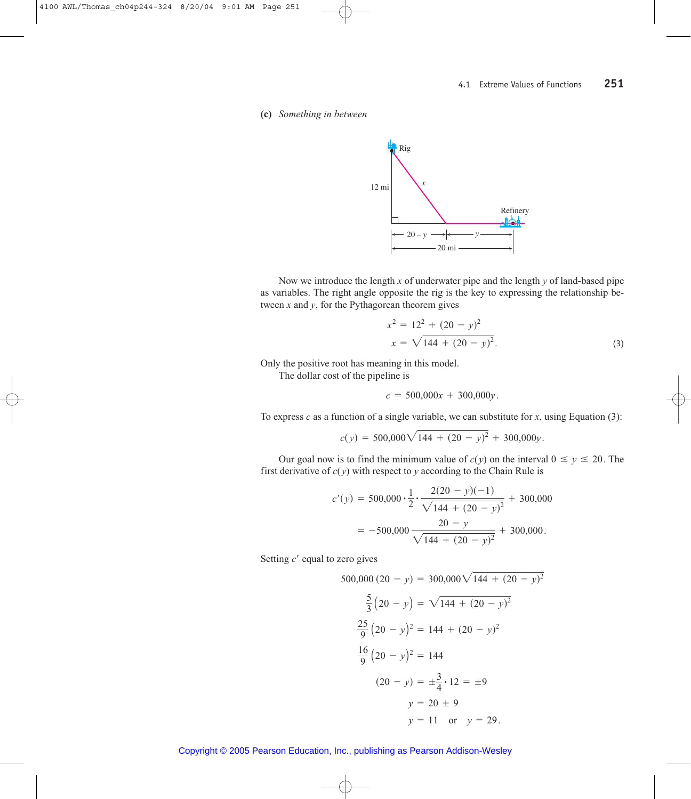#### **(c)** *Something in between*



Now we introduce the length *x* of underwater pipe and the length *y* of land-based pipe as variables. The right angle opposite the rig is the key to expressing the relationship between *x* and *y*, for the Pythagorean theorem gives

$$
x2 = 122 + (20 - y)2
$$
  

$$
x = \sqrt{144 + (20 - y)2}.
$$
 (3)

Only the positive root has meaning in this model.

The dollar cost of the pipeline is

$$
c = 500,000x + 300,000y.
$$

To express *c* as a function of a single variable, we can substitute for *x*, using Equation (3):

$$
c(y) = 500,000\sqrt{144 + (20 - y)^2 + 300,000y}.
$$

Our goal now is to find the minimum value of  $c(y)$  on the interval  $0 \le y \le 20$ . The first derivative of  $c(y)$  with respect to  $y$  according to the Chain Rule is

$$
c'(y) = 500,000 \cdot \frac{1}{2} \cdot \frac{2(20 - y)(-1)}{\sqrt{144 + (20 - y)^2}} + 300,000
$$

$$
= -500,000 \frac{20 - y}{\sqrt{144 + (20 - y)^2}} + 300,000.
$$

Setting c' equal to zero gives

$$
500,000 (20 - y) = 300,000 \sqrt{144 + (20 - y)^2}
$$
  
\n
$$
\frac{5}{3} (20 - y) = \sqrt{144 + (20 - y)^2}
$$
  
\n
$$
\frac{25}{9} (20 - y)^2 = 144 + (20 - y)^2
$$
  
\n
$$
\frac{16}{9} (20 - y)^2 = 144
$$
  
\n
$$
(20 - y) = \pm \frac{3}{4} \cdot 12 = \pm 9
$$
  
\n
$$
y = 20 \pm 9
$$
  
\n
$$
y = 11 \text{ or } y = 29.
$$

Copyright © 2005 Pearson Education, Inc., publishing as Pearson Addison-Wesley